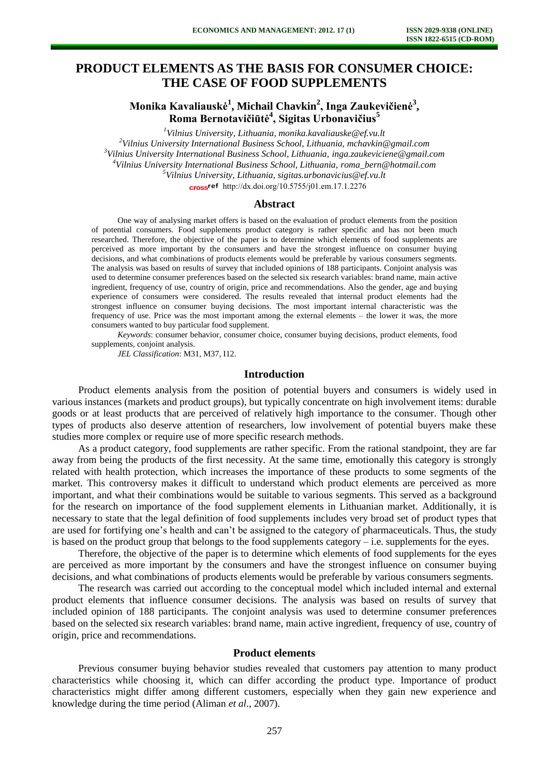# **PRODUCT ELEMENTS AS THE BASIS FOR CONSUMER CHOICE: THE CASE OF FOOD SUPPLEMENTS**

# **Monika Kavaliauskė<sup>1</sup> , Michail Chavkin<sup>2</sup> , Inga Zaukevičienė<sup>3</sup> , Roma Bernotavičiūtė<sup>4</sup> , Sigitas Urbonavičius<sup>5</sup>**

*Vilnius University, Lithuania, monika.kavaliauske@ef.vu.lt Vilnius University International Business School, Lithuania, [mchavkin@gmail.com](mailto:mchavkin@gmail.com) Vilnius University International Business School, Lithuania, [inga.zaukeviciene@gmail.com](mailto:inga.zaukeviciene@gmail.com) Vilnius University International Business School, Lithuania, [roma\\_bern@hotmail.com](mailto:roma_bern@hotmail.com) Vilnius University, Lithuania, sigitas.urbonavicius@ef.vu.lt*  [http://dx.doi.org/10.5755/j01.e](http://dx.doi.org/10.5755/j01.em.17.1.2276)m.17.1.2276

#### **Abstract**

One way of analysing market offers is based on the evaluation of product elements from the position of potential consumers. Food supplements product category is rather specific and has not been much researched. Therefore, the objective of the paper is to determine which elements of food supplements are perceived as more important by the consumers and have the strongest influence on consumer buying decisions, and what combinations of products elements would be preferable by various consumers segments. The analysis was based on results of survey that included opinions of 188 participants. Conjoint analysis was used to determine consumer preferences based on the selected six research variables: brand name, main active ingredient, frequency of use, country of origin, price and recommendations. Also the gender, age and buying experience of consumers were considered. The results revealed that internal product elements had the strongest influence on consumer buying decisions. The most important internal characteristic was the frequency of use. Price was the most important among the external elements – the lower it was, the more consumers wanted to buy particular food supplement.

*Keywords*: consumer behavior, consumer choice, consumer buying decisions, product elements, food supplements, conjoint analysis.

*JEL Classification*: M31, M37, I12.

#### **Introduction**

Product elements analysis from the position of potential buyers and consumers is widely used in various instances (markets and product groups), but typically concentrate on high involvement items: durable goods or at least products that are perceived of relatively high importance to the consumer. Though other types of products also deserve attention of researchers, low involvement of potential buyers make these studies more complex or require use of more specific research methods.

As a product category, food supplements are rather specific. From the rational standpoint, they are far away from being the products of the first necessity. At the same time, emotionally this category is strongly related with health protection, which increases the importance of these products to some segments of the market. This controversy makes it difficult to understand which product elements are perceived as more important, and what their combinations would be suitable to various segments. This served as a background for the research on importance of the food supplement elements in Lithuanian market. Additionally, it is necessary to state that the legal definition of food supplements includes very broad set of product types that are used for fortifying one's health and can't be assigned to the category of pharmaceuticals. Thus, the study is based on the product group that belongs to the food supplements category  $-i.e.$  supplements for the eyes.

Therefore, the objective of the paper is to determine which elements of food supplements for the eyes are perceived as more important by the consumers and have the strongest influence on consumer buying decisions, and what combinations of products elements would be preferable by various consumers segments.

The research was carried out according to the conceptual model which included internal and external product elements that influence consumer decisions. The analysis was based on results of survey that included opinion of 188 participants. The conjoint analysis was used to determine consumer preferences based on the selected six research variables: brand name, main active ingredient, frequency of use, country of origin, price and recommendations.

### **Product elements**

Previous consumer buying behavior studies revealed that customers pay attention to many product characteristics while choosing it, which can differ according the product type. Importance of product characteristics might differ among different customers, especially when they gain new experience and knowledge during the time period (Aliman *et al*., 2007).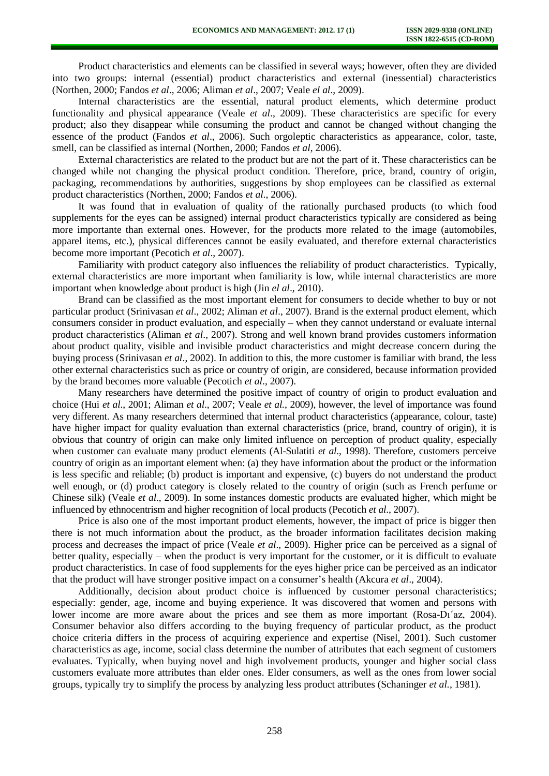Product characteristics and elements can be classified in several ways; however, often they are divided into two groups: internal (essential) product characteristics and external (inessential) characteristics (Northen, 2000; Fandos *et al*., 2006; Aliman *et al*., 2007; Veale *el al*., 2009).

Internal characteristics are the essential, natural product elements, which determine product functionality and physical appearance (Veale *et al*., 2009). These characteristics are specific for every product; also they disappear while consuming the product and cannot be changed without changing the essence of the product (Fandos *et al*., 2006). Such orgoleptic characteristics as appearance, color, taste, smell, can be classified as internal (Northen, 2000; Fandos *et al*, 2006).

External characteristics are related to the product but are not the part of it. These characteristics can be changed while not changing the physical product condition. Therefore, price, brand, country of origin, packaging, recommendations by authorities, suggestions by shop employees can be classified as external product characteristics (Northen, 2000; Fandos *et al*., 2006).

It was found that in evaluation of quality of the rationally purchased products (to which food supplements for the eyes can be assigned) internal product characteristics typically are considered as being more importante than external ones. However, for the products more related to the image (automobiles, apparel items, etc.), physical differences cannot be easily evaluated, and therefore external characteristics become more important (Pecotich *et al*., 2007).

Familiarity with product category also influences the reliability of product characteristics. Typically, external characteristics are more important when familiarity is low, while internal characteristics are more important when knowledge about product is high (Jin *el al*., 2010).

Brand can be classified as the most important element for consumers to decide whether to buy or not particular product (Srinivasan *et al*., 2002; Aliman *et al*., 2007). Brand is the external product element, which consumers consider in product evaluation, and especially – when they cannot understand or evaluate internal product characteristics (Aliman *et al*., 2007). Strong and well known brand provides customers information about product quality, visible and invisible product characteristics and might decrease concern during the buying process (Srinivasan *et al*., 2002). In addition to this, the more customer is familiar with brand, the less other external characteristics such as price or country of origin, are considered, because information provided by the brand becomes more valuable (Pecotich *et al*., 2007).

Many researchers have determined the positive impact of country of origin to product evaluation and choice (Hui *et al*., 2001; Aliman *et al*., 2007; Veale *et al.*, 2009), however, the level of importance was found very different. As many researchers determined that internal product characteristics (appearance, colour, taste) have higher impact for quality evaluation than external characteristics (price, brand, country of origin), it is obvious that country of origin can make only limited influence on perception of product quality, especially when customer can evaluate many product elements (Al-Sulatiti *et al*., 1998). Therefore, customers perceive country of origin as an important element when: (a) they have information about the product or the information is less specific and reliable; (b) product is important and expensive, (c) buyers do not understand the product well enough, or (d) product category is closely related to the country of origin (such as French perfume or Chinese silk) (Veale *et al*., 2009). In some instances domestic products are evaluated higher, which might be influenced by ethnocentrism and higher recognition of local products (Pecotich *et al*., 2007).

Price is also one of the most important product elements, however, the impact of price is bigger then there is not much information about the product, as the broader information facilitates decision making process and decreases the impact of price (Veale *et al*., 2009). Higher price can be perceived as a signal of better quality, especially – when the product is very important for the customer, or it is difficult to evaluate product characteristics. In case of food supplements for the eyes higher price can be perceived as an indicator that the product will have stronger positive impact on a consumer's health (Akcura *et al*., 2004).

Additionally, decision about product choice is influenced by customer personal characteristics; especially: gender, age, income and buying experience. It was discovered that women and persons with lower income are more aware about the prices and see them as more important (Rosa-Di'az, 2004). Consumer behavior also differs according to the buying frequency of particular product, as the product choice criteria differs in the process of acquiring experience and expertise (Nisel, 2001). Such customer characteristics as age, income, social class determine the number of attributes that each segment of customers evaluates. Typically, when buying novel and high involvement products, younger and higher social class customers evaluate more attributes than elder ones. Elder consumers, as well as the ones from lower social groups, typically try to simplify the process by analyzing less product attributes (Schaninger *et al.*, 1981).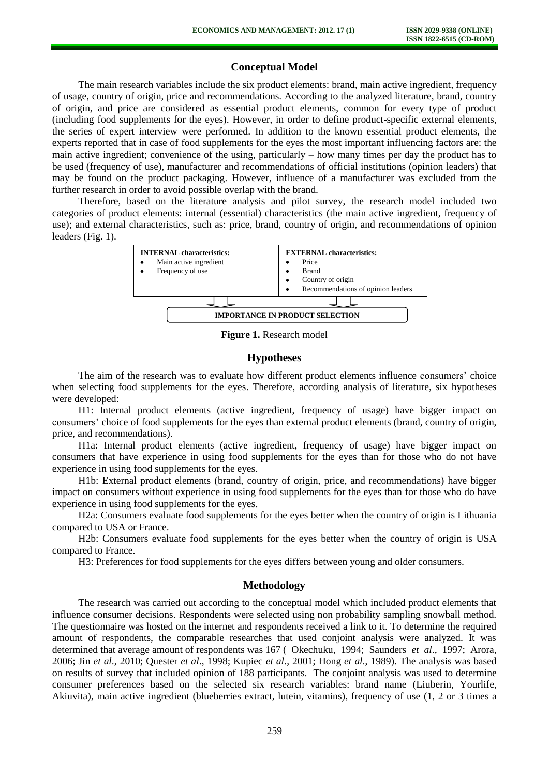## **Conceptual Model**

The main research variables include the six product elements: brand, main active ingredient, frequency of usage, country of origin, price and recommendations. According to the analyzed literature, brand, country of origin, and price are considered as essential product elements, common for every type of product (including food supplements for the eyes). However, in order to define product-specific external elements, the series of expert interview were performed. In addition to the known essential product elements, the experts reported that in case of food supplements for the eyes the most important influencing factors are: the main active ingredient; convenience of the using, particularly – how many times per day the product has to be used (frequency of use), manufacturer and recommendations of official institutions (opinion leaders) that may be found on the product packaging. However, influence of a manufacturer was excluded from the further research in order to avoid possible overlap with the brand.

Therefore, based on the literature analysis and pilot survey, the research model included two categories of product elements: internal (essential) characteristics (the main active ingredient, frequency of use); and external characteristics, such as: price, brand, country of origin, and recommendations of opinion leaders (Fig. 1).



**Figure 1.** Research model

## **Hypotheses**

The aim of the research was to evaluate how different product elements influence consumers' choice when selecting food supplements for the eyes. Therefore, according analysis of literature, six hypotheses were developed:

H1: Internal product elements (active ingredient, frequency of usage) have bigger impact on consumers' choice of food supplements for the eyes than external product elements (brand, country of origin, price, and recommendations).

H1a: Internal product elements (active ingredient, frequency of usage) have bigger impact on consumers that have experience in using food supplements for the eyes than for those who do not have experience in using food supplements for the eyes.

H1b: External product elements (brand, country of origin, price, and recommendations) have bigger impact on consumers without experience in using food supplements for the eyes than for those who do have experience in using food supplements for the eyes.

H2a: Consumers evaluate food supplements for the eyes better when the country of origin is Lithuania compared to USA or France.

H2b: Consumers evaluate food supplements for the eyes better when the country of origin is USA compared to France.

H3: Preferences for food supplements for the eyes differs between young and older consumers.

# **Methodology**

The research was carried out according to the conceptual model which included product elements that influence consumer decisions. Respondents were selected using non probability sampling snowball method. The questionnaire was hosted on the internet and respondents received a link to it. To determine the required amount of respondents, the comparable researches that used conjoint analysis were analyzed. It was determined that average amount of respondents was 167 ( Okechuku, 1994; Saunders *et al*., 1997; Arora, 2006; Jin *et al*., 2010; Quester *et al*., 1998; Kupiec *et al*., 2001; Hong *et al*., 1989). The analysis was based on results of survey that included opinion of 188 participants. The conjoint analysis was used to determine consumer preferences based on the selected six research variables: brand name (Liuberin, Yourlife, Akiuvita), main active ingredient (blueberries extract, lutein, vitamins), frequency of use (1, 2 or 3 times a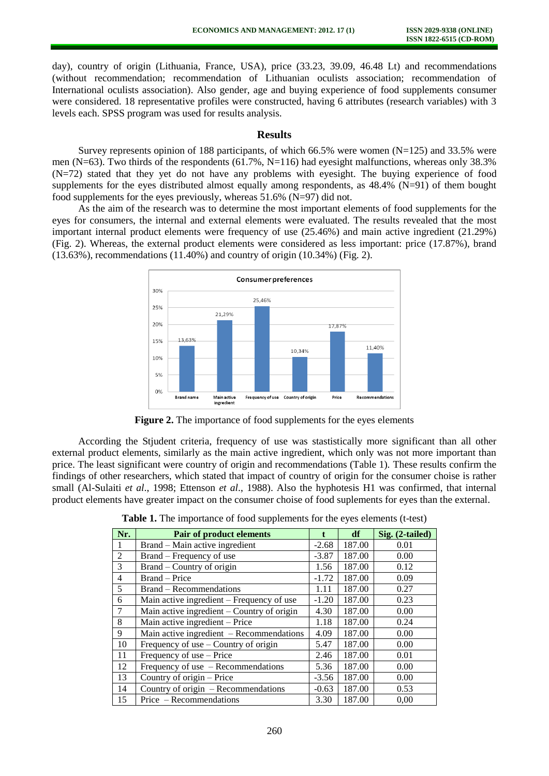day), country of origin (Lithuania, France, USA), price (33.23, 39.09, 46.48 Lt) and recommendations (without recommendation; recommendation of Lithuanian oculists association; recommendation of International oculists association). Also gender, age and buying experience of food supplements consumer were considered. 18 representative profiles were constructed, having 6 attributes (research variables) with 3 levels each. SPSS program was used for results analysis.

#### **Results**

Survey represents opinion of 188 participants, of which  $66.5\%$  were women (N=125) and 33.5% were men (N=63). Two thirds of the respondents (61.7%, N=116) had eyesight malfunctions, whereas only 38.3% (N=72) stated that they yet do not have any problems with eyesight. The buying experience of food supplements for the eyes distributed almost equally among respondents, as 48.4% (N=91) of them bought food supplements for the eyes previously, whereas  $51.6\%$  (N=97) did not.

As the aim of the research was to determine the most important elements of food supplements for the eyes for consumers, the internal and external elements were evaluated. The results revealed that the most important internal product elements were frequency of use (25.46%) and main active ingredient (21.29%) (Fig. 2). Whereas, the external product elements were considered as less important: price (17.87%), brand  $(13.63\%)$ , recommendations  $(11.40\%)$  and country of origin  $(10.34\%)$  (Fig. 2).



**Figure 2.** The importance of food supplements for the eyes elements

According the Stjudent criteria, frequency of use was stastistically more significant than all other external product elements, similarly as the main active ingredient, which only was not more important than price. The least significant were country of origin and recommendations (Table 1). These results confirm the findings of other researchers, which stated that impact of country of origin for the consumer choise is rather small (Al-Sulaiti *et al*., 1998; Ettenson *et al*., 1988). Also the hyphotesis H1 was confirmed, that internal product elements have greater impact on the consumer choise of food suplements for eyes than the external.

| Nr.            | <b>Pair of product elements</b>            | $\mathbf{f}$ | df     | Sig. (2-tailed) |
|----------------|--------------------------------------------|--------------|--------|-----------------|
| 1              | Brand – Main active ingredient             | $-2.68$      | 187.00 | 0.01            |
| $\mathfrak{2}$ | Brand – Frequency of use                   | $-3.87$      | 187.00 | 0.00            |
| 3              | Brand - Country of origin                  | 1.56         | 187.00 | 0.12            |
| 4              | Brand – Price                              | $-1.72$      | 187.00 | 0.09            |
| 5              | Brand – Recommendations                    | 1.11         | 187.00 | 0.27            |
| 6              | Main active ingredient – Frequency of use  | $-1.20$      | 187.00 | 0.23            |
| 7              | Main active ingredient – Country of origin | 4.30         | 187.00 | 0.00            |
| 8              | Main active ingredient - Price             | 1.18         | 187.00 | 0.24            |
| 9              | Main active ingredient $-$ Recommendations | 4.09         | 187.00 | 0.00            |
| 10             | Frequency of use – Country of origin       | 5.47         | 187.00 | 0.00            |
| 11             | Frequency of use - Price                   | 2.46         | 187.00 | 0.01            |
| 12             | Frequency of use $-$ Recommendations       | 5.36         | 187.00 | 0.00            |
| 13             | Country of origin – Price                  | $-3.56$      | 187.00 | 0.00            |
| 14             | Country of origin – Recommendations        | $-0.63$      | 187.00 | 0.53            |
| 15             | Price – Recommendations                    | 3.30         | 187.00 | 0,00            |

**Table 1.** The importance of food supplements for the eyes elements (t-test)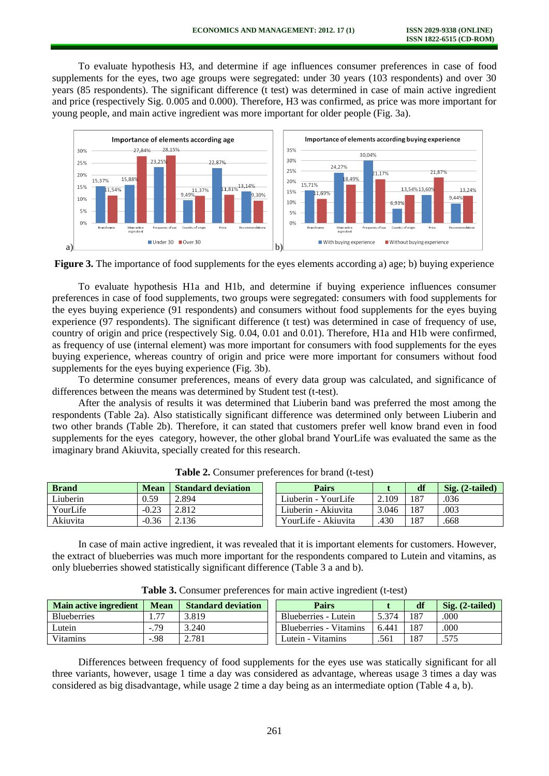To evaluate hypothesis H3, and determine if age influences consumer preferences in case of food supplements for the eyes, two age groups were segregated: under 30 years (103 respondents) and over 30 years (85 respondents). The significant difference (t test) was determined in case of main active ingredient and price (respectively Sig. 0.005 and 0.000). Therefore, H3 was confirmed, as price was more important for young people, and main active ingredient was more important for older people (Fig. 3a).





To evaluate hypothesis H1a and H1b, and determine if buying experience influences consumer preferences in case of food supplements, two groups were segregated: consumers with food supplements for the eyes buying experience (91 respondents) and consumers without food supplements for the eyes buying experience (97 respondents). The significant difference (t test) was determined in case of frequency of use, country of origin and price (respectively Sig. 0.04, 0.01 and 0.01). Therefore, H1a and H1b were confirmed, as frequency of use (internal element) was more important for consumers with food supplements for the eyes buying experience, whereas country of origin and price were more important for consumers without food supplements for the eyes buying experience (Fig. 3b).

To determine consumer preferences, means of every data group was calculated, and significance of differences between the means was determined by Student test (t-test).

After the analysis of results it was determined that Liuberin band was preferred the most among the respondents (Table 2a). Also statistically significant difference was determined only between Liuberin and two other brands (Table 2b). Therefore, it can stated that customers prefer well know brand even in food supplements for the eyes category, however, the other global brand YourLife was evaluated the same as the imaginary brand Akiuvita, specially created for this research.

| <b>Brand</b> | <b>Mean</b> | <b>Standard deviation</b> | <b>Pairs</b>        |       | df  | $Sig. (2-tailed)$ |
|--------------|-------------|---------------------------|---------------------|-------|-----|-------------------|
| Liuberin     | 0.59        | 2.894                     | Liuberin - YourLife | 2.109 | 187 | .036              |
| YourLife     | $-0.23$     | 2.812                     | Liuberin - Akiuvita | 3.046 | 187 | .003              |
| Akiuvita     | $-0.36$     | 2.136                     | YourLife - Akiuvita | 430   | 187 | .668              |

**Table 2.** Consumer preferences for brand (t-test)

In case of main active ingredient, it was revealed that it is important elements for customers. However, the extract of blueberries was much more important for the respondents compared to Lutein and vitamins, as only blueberries showed statistically significant difference (Table 3 a and b).

| <b>Main active ingredient</b> | <b>Mean</b> | <b>Standard deviation</b> | Pairs                  |                | df | $\text{Sig.}$ (2-tailed) |
|-------------------------------|-------------|---------------------------|------------------------|----------------|----|--------------------------|
| <b>Blueberries</b>            |             | 3.819                     | Blueberries - Lutein   | 5.374          |    | .000                     |
| Lutein                        | $-0.79$     | .240                      | Blueberries - Vitamins | $6.44^{\circ}$ |    | .000                     |
| <b>Vitamins</b>               | .98         | 2.781                     | Lutein - Vitamins      | .561           |    | .575                     |

**Table 3.** Consumer preferences for main active ingredient (t-test)

Differences between frequency of food supplements for the eyes use was statically significant for all three variants, however, usage 1 time a day was considered as advantage, whereas usage 3 times a day was considered as big disadvantage, while usage 2 time a day being as an intermediate option (Table 4 a, b).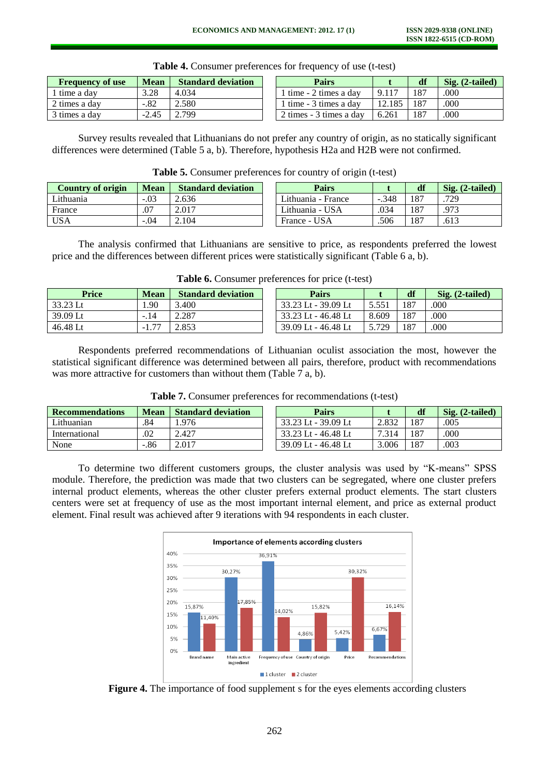| <b>Frequency of use</b> | <b>Mean</b> | <b>Standard deviation</b> | Pairs                   |        | df  | $Sig. (2-tailed)$ |
|-------------------------|-------------|---------------------------|-------------------------|--------|-----|-------------------|
| 1 time a day            | 3.28        | 4.034                     | time - 2 times a day    | 9.117  | 187 | .000              |
| 2 times a day           | $-.82$      | 2.580                     | 1 time - 3 times a day  | 12.185 | 187 | .000              |
| 3 times a day           | $-2.45$     | 2.799                     | 2 times - 3 times a day | 6.261  | 187 | .000              |
|                         |             |                           |                         |        |     |                   |

**Table 4.** Consumer preferences for frequency of use (t-test)

Survey results revealed that Lithuanians do not prefer any country of origin, as no statically significant differences were determined (Table 5 a, b). Therefore, hypothesis H2a and H2B were not confirmed.

| <b>Country of origin</b> | <b>Mean</b> | <b>Standard deviation</b> | Pairs              |         | df  | $Sig. (2-tailed)$ |
|--------------------------|-------------|---------------------------|--------------------|---------|-----|-------------------|
| Lithuania                | $-.03$      | 2.636                     | Lithuania - France | $-.348$ | 187 | .729              |
| France                   | .07         | 2.017                     | Lithuania - USA    | .034    | 187 | .973              |
| <b>USA</b>               | $-.04$      | $\angle 104$              | France - USA       | .506    | 187 | .613              |

**Table 5.** Consumer preferences for country of origin (t-test)

The analysis confirmed that Lithuanians are sensitive to price, as respondents preferred the lowest price and the differences between different prices were statistically significant (Table 6 a, b).

| <b>Price</b> | <b>Mean</b>  | <b>Standard deviation</b> | Pairs               |                | df  | $Sig. (2-tailed)$ |
|--------------|--------------|---------------------------|---------------------|----------------|-----|-------------------|
| 33.23 Lt     | .90          | ۔400                      | 33.23 Lt - 39.09 Lt | $5.55^{\circ}$ | 187 | .000              |
| 39.09 Lt     | $-.14$       | 2.287                     | 33.23 Lt - 46.48 Lt | 8.609          | 187 | .000              |
| 46.48 Lt     | 77<br>$-1.1$ | 2.853                     | 39.09 Lt - 46.48 Lt | 5.729          | 187 | .000              |

**Table 6.** Consumer preferences for price (t-test)

Respondents preferred recommendations of Lithuanian oculist association the most, however the statistical significant difference was determined between all pairs, therefore, product with recommendations was more attractive for customers than without them (Table 7 a, b).

| <b>Recommendations</b> | Mean | <b>Standard deviation</b> | <b>Pairs</b>        |       | df  | $Sig. (2-tailed)$ |
|------------------------|------|---------------------------|---------------------|-------|-----|-------------------|
| Lithuanian             | .84  | .976                      | 33.23 Lt - 39.09 Lt | 2.832 | 187 | .005              |
| International          | .02  | 2.427                     | 33.23 Lt - 46.48 Lt | 7.314 | 187 | .000              |
| None                   | .86  | 2.017                     | 39.09 Lt - 46.48 Lt | 3.006 | 187 | .003              |

**Table 7.** Consumer preferences for recommendations (t-test)

To determine two different customers groups, the cluster analysis was used by "K-means" SPSS module. Therefore, the prediction was made that two clusters can be segregated, where one cluster prefers internal product elements, whereas the other cluster prefers external product elements. The start clusters centers were set at frequency of use as the most important internal element, and price as external product element. Final result was achieved after 9 iterations with 94 respondents in each cluster.



**Figure 4.** The importance of food supplement s for the eyes elements according clusters